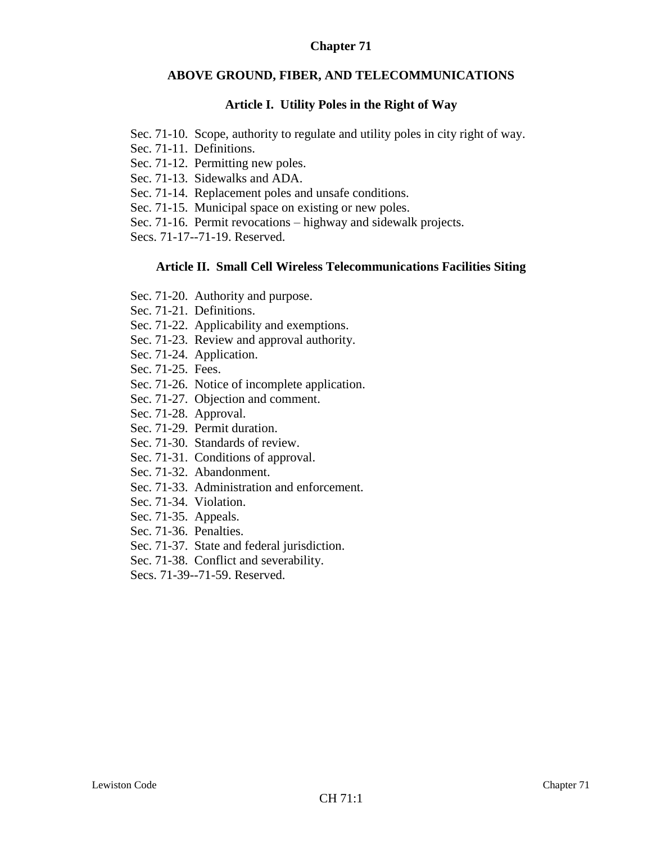## **Chapter 71**

### **ABOVE GROUND, FIBER, AND TELECOMMUNICATIONS**

### **Article I. Utility Poles in the Right of Way**

- Sec. 71-10. Scope, authority to regulate and utility poles in city right of way.
- Sec. 71-11. Definitions.
- Sec. 71-12. Permitting new poles.
- Sec. 71-13. Sidewalks and ADA.
- Sec. 71-14. Replacement poles and unsafe conditions.
- Sec. 71-15. Municipal space on existing or new poles.
- Sec. 71-16. Permit revocations highway and sidewalk projects.

Secs. 71-17--71-19. Reserved.

#### **Article II. Small Cell Wireless Telecommunications Facilities Siting**

- Sec. 71-20. Authority and purpose.
- Sec. 71-21. Definitions.
- Sec. 71-22. Applicability and exemptions.
- Sec. 71-23. Review and approval authority.
- Sec. 71-24. Application.
- Sec. 71-25. Fees.
- Sec. 71-26. Notice of incomplete application.
- Sec. 71-27. Objection and comment.
- Sec. 71-28. Approval.
- Sec. 71-29. Permit duration.
- Sec. 71-30. Standards of review.
- Sec. 71-31. Conditions of approval.
- Sec. 71-32. Abandonment.
- Sec. 71-33. Administration and enforcement.
- Sec. 71-34. Violation.
- Sec. 71-35. Appeals.
- Sec. 71-36. Penalties.
- Sec. 71-37. State and federal jurisdiction.
- Sec. 71-38. Conflict and severability.
- Secs. 71-39--71-59. Reserved.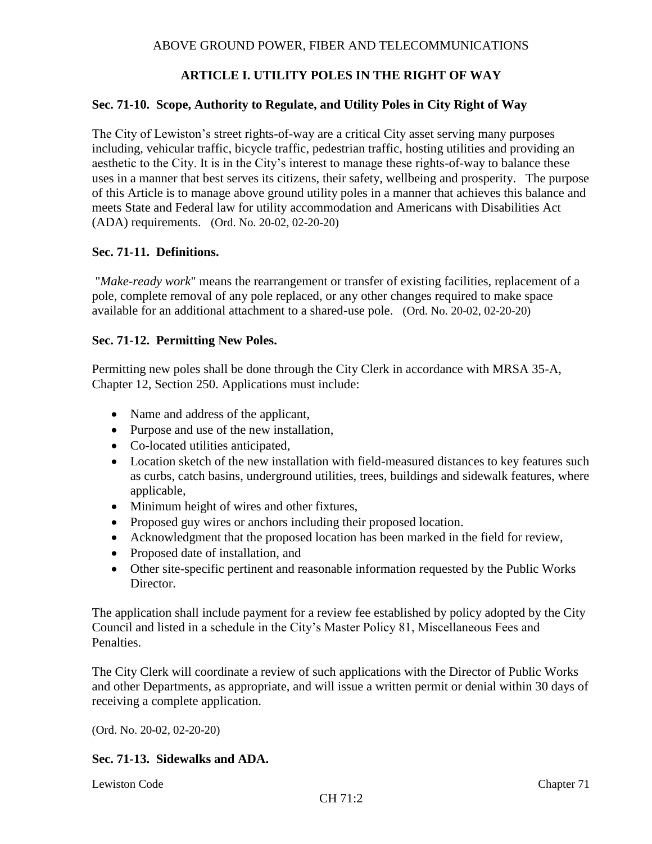# **ARTICLE I. UTILITY POLES IN THE RIGHT OF WAY**

#### **Sec. 71-10. Scope, Authority to Regulate, and Utility Poles in City Right of Way**

The City of Lewiston's street rights-of-way are a critical City asset serving many purposes including, vehicular traffic, bicycle traffic, pedestrian traffic, hosting utilities and providing an aesthetic to the City. It is in the City's interest to manage these rights-of-way to balance these uses in a manner that best serves its citizens, their safety, wellbeing and prosperity. The purpose of this Article is to manage above ground utility poles in a manner that achieves this balance and meets State and Federal law for utility accommodation and Americans with Disabilities Act (ADA) requirements. (Ord. No. 20-02, 02-20-20)

#### **Sec. 71-11. Definitions.**

"*Make-ready work*" means the rearrangement or transfer of existing facilities, replacement of a pole, complete removal of any pole replaced, or any other changes required to make space available for an additional attachment to a shared-use pole. (Ord. No. 20-02, 02-20-20)

#### **Sec. 71-12. Permitting New Poles.**

Permitting new poles shall be done through the City Clerk in accordance with MRSA 35-A, Chapter 12, Section 250. Applications must include:

- Name and address of the applicant,
- Purpose and use of the new installation,
- Co-located utilities anticipated,
- Location sketch of the new installation with field-measured distances to key features such as curbs, catch basins, underground utilities, trees, buildings and sidewalk features, where applicable,
- Minimum height of wires and other fixtures,
- Proposed guy wires or anchors including their proposed location.
- Acknowledgment that the proposed location has been marked in the field for review,
- Proposed date of installation, and
- Other site-specific pertinent and reasonable information requested by the Public Works Director.

The application shall include payment for a review fee established by policy adopted by the City Council and listed in a schedule in the City's Master Policy 81, Miscellaneous Fees and Penalties.

The City Clerk will coordinate a review of such applications with the Director of Public Works and other Departments, as appropriate, and will issue a written permit or denial within 30 days of receiving a complete application.

(Ord. No. 20-02, 02-20-20)

### **Sec. 71-13. Sidewalks and ADA.**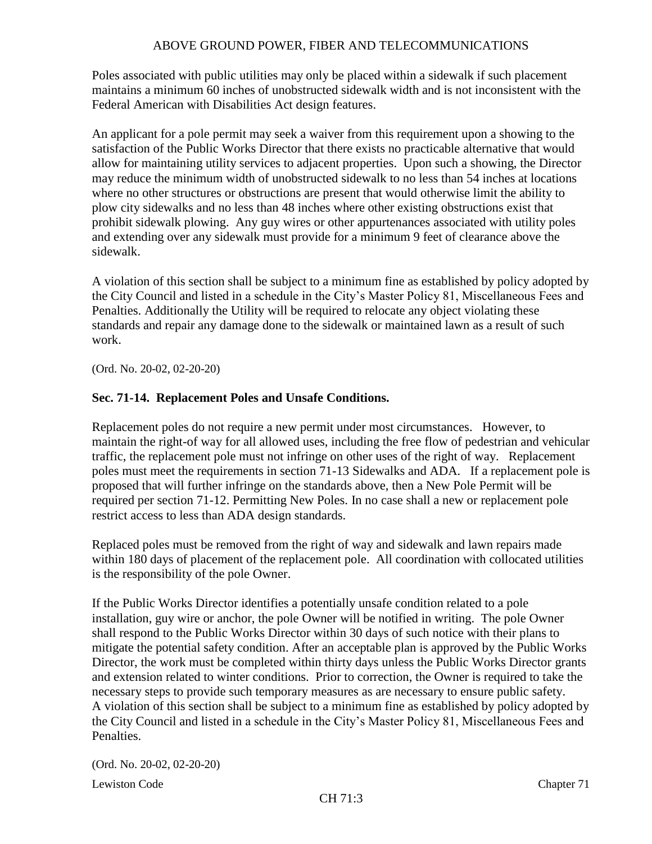Poles associated with public utilities may only be placed within a sidewalk if such placement maintains a minimum 60 inches of unobstructed sidewalk width and is not inconsistent with the Federal American with Disabilities Act design features.

An applicant for a pole permit may seek a waiver from this requirement upon a showing to the satisfaction of the Public Works Director that there exists no practicable alternative that would allow for maintaining utility services to adjacent properties. Upon such a showing, the Director may reduce the minimum width of unobstructed sidewalk to no less than 54 inches at locations where no other structures or obstructions are present that would otherwise limit the ability to plow city sidewalks and no less than 48 inches where other existing obstructions exist that prohibit sidewalk plowing. Any guy wires or other appurtenances associated with utility poles and extending over any sidewalk must provide for a minimum 9 feet of clearance above the sidewalk.

A violation of this section shall be subject to a minimum fine as established by policy adopted by the City Council and listed in a schedule in the City's Master Policy 81, Miscellaneous Fees and Penalties. Additionally the Utility will be required to relocate any object violating these standards and repair any damage done to the sidewalk or maintained lawn as a result of such work.

(Ord. No. 20-02, 02-20-20)

### **Sec. 71-14. Replacement Poles and Unsafe Conditions.**

Replacement poles do not require a new permit under most circumstances. However, to maintain the right-of way for all allowed uses, including the free flow of pedestrian and vehicular traffic, the replacement pole must not infringe on other uses of the right of way. Replacement poles must meet the requirements in section 71-13 Sidewalks and ADA. If a replacement pole is proposed that will further infringe on the standards above, then a New Pole Permit will be required per section 71-12. Permitting New Poles. In no case shall a new or replacement pole restrict access to less than ADA design standards.

Replaced poles must be removed from the right of way and sidewalk and lawn repairs made within 180 days of placement of the replacement pole. All coordination with collocated utilities is the responsibility of the pole Owner.

If the Public Works Director identifies a potentially unsafe condition related to a pole installation, guy wire or anchor, the pole Owner will be notified in writing. The pole Owner shall respond to the Public Works Director within 30 days of such notice with their plans to mitigate the potential safety condition. After an acceptable plan is approved by the Public Works Director, the work must be completed within thirty days unless the Public Works Director grants and extension related to winter conditions. Prior to correction, the Owner is required to take the necessary steps to provide such temporary measures as are necessary to ensure public safety. A violation of this section shall be subject to a minimum fine as established by policy adopted by the City Council and listed in a schedule in the City's Master Policy 81, Miscellaneous Fees and Penalties.

(Ord. No. 20-02, 02-20-20)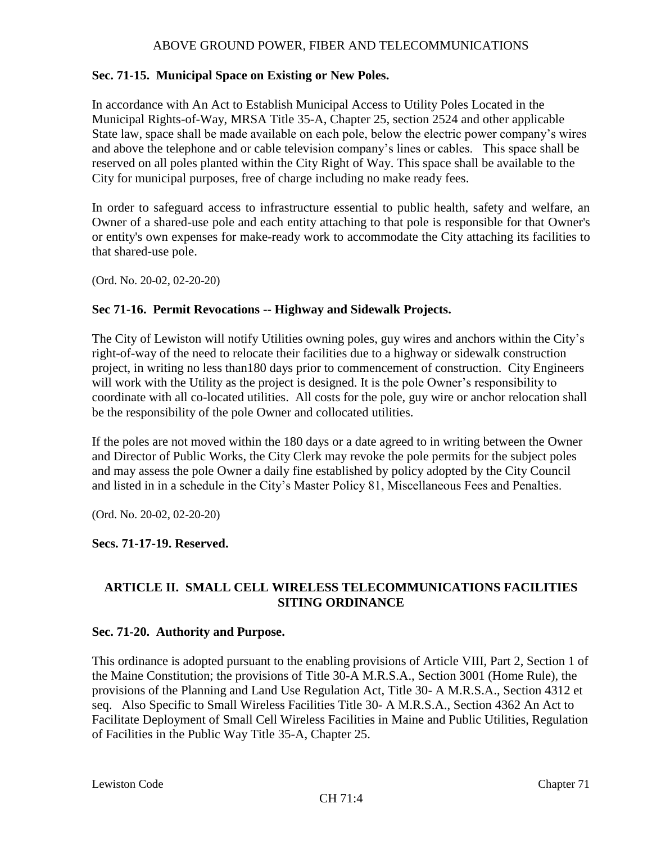### **Sec. 71-15. Municipal Space on Existing or New Poles.**

In accordance with An Act to Establish Municipal Access to Utility Poles Located in the Municipal Rights-of-Way, MRSA Title 35-A, Chapter 25, section 2524 and other applicable State law, space shall be made available on each pole, below the electric power company's wires and above the telephone and or cable television company's lines or cables. This space shall be reserved on all poles planted within the City Right of Way. This space shall be available to the City for municipal purposes, free of charge including no make ready fees.

In order to safeguard access to infrastructure essential to public health, safety and welfare, an Owner of a shared-use pole and each entity attaching to that pole is responsible for that Owner's or entity's own expenses for make-ready work to accommodate the City attaching its facilities to that shared-use pole.

(Ord. No. 20-02, 02-20-20)

### **Sec 71-16. Permit Revocations -- Highway and Sidewalk Projects.**

The City of Lewiston will notify Utilities owning poles, guy wires and anchors within the City's right-of-way of the need to relocate their facilities due to a highway or sidewalk construction project, in writing no less than180 days prior to commencement of construction. City Engineers will work with the Utility as the project is designed. It is the pole Owner's responsibility to coordinate with all co-located utilities. All costs for the pole, guy wire or anchor relocation shall be the responsibility of the pole Owner and collocated utilities.

If the poles are not moved within the 180 days or a date agreed to in writing between the Owner and Director of Public Works, the City Clerk may revoke the pole permits for the subject poles and may assess the pole Owner a daily fine established by policy adopted by the City Council and listed in in a schedule in the City's Master Policy 81, Miscellaneous Fees and Penalties.

(Ord. No. 20-02, 02-20-20)

### **Secs. 71-17-19. Reserved.**

# **ARTICLE II. SMALL CELL WIRELESS TELECOMMUNICATIONS FACILITIES SITING ORDINANCE**

### **Sec. 71-20. Authority and Purpose.**

This ordinance is adopted pursuant to the enabling provisions of Article VIII, Part 2, Section 1 of the Maine Constitution; the provisions of Title 30-A M.R.S.A., Section 3001 (Home Rule), the provisions of the Planning and Land Use Regulation Act, Title 30- A M.R.S.A., Section 4312 et seq. Also Specific to Small Wireless Facilities Title 30- A M.R.S.A., Section 4362 An Act to Facilitate Deployment of Small Cell Wireless Facilities in Maine and Public Utilities, Regulation of Facilities in the Public Way Title 35-A, Chapter 25.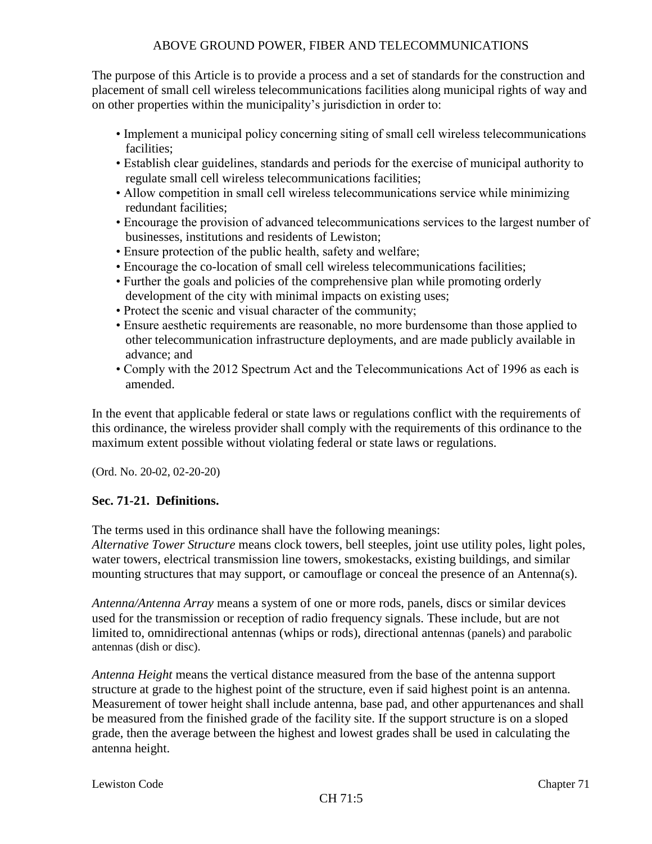The purpose of this Article is to provide a process and a set of standards for the construction and placement of small cell wireless telecommunications facilities along municipal rights of way and on other properties within the municipality's jurisdiction in order to:

- Implement a municipal policy concerning siting of small cell wireless telecommunications facilities;
- Establish clear guidelines, standards and periods for the exercise of municipal authority to regulate small cell wireless telecommunications facilities;
- Allow competition in small cell wireless telecommunications service while minimizing redundant facilities;
- Encourage the provision of advanced telecommunications services to the largest number of businesses, institutions and residents of Lewiston;
- Ensure protection of the public health, safety and welfare;
- Encourage the co-location of small cell wireless telecommunications facilities;
- Further the goals and policies of the comprehensive plan while promoting orderly development of the city with minimal impacts on existing uses;
- Protect the scenic and visual character of the community;
- Ensure aesthetic requirements are reasonable, no more burdensome than those applied to other telecommunication infrastructure deployments, and are made publicly available in advance; and
- Comply with the 2012 Spectrum Act and the Telecommunications Act of 1996 as each is amended.

In the event that applicable federal or state laws or regulations conflict with the requirements of this ordinance, the wireless provider shall comply with the requirements of this ordinance to the maximum extent possible without violating federal or state laws or regulations.

(Ord. No. 20-02, 02-20-20)

### **Sec. 71-21. Definitions.**

The terms used in this ordinance shall have the following meanings:

*Alternative Tower Structure* means clock towers, bell steeples, joint use utility poles, light poles, water towers, electrical transmission line towers, smokestacks, existing buildings, and similar mounting structures that may support, or camouflage or conceal the presence of an Antenna(s).

*Antenna/Antenna Array* means a system of one or more rods, panels, discs or similar devices used for the transmission or reception of radio frequency signals. These include, but are not limited to, omnidirectional antennas (whips or rods), directional antennas (panels) and parabolic antennas (dish or disc).

*Antenna Height* means the vertical distance measured from the base of the antenna support structure at grade to the highest point of the structure, even if said highest point is an antenna. Measurement of tower height shall include antenna, base pad, and other appurtenances and shall be measured from the finished grade of the facility site. If the support structure is on a sloped grade, then the average between the highest and lowest grades shall be used in calculating the antenna height.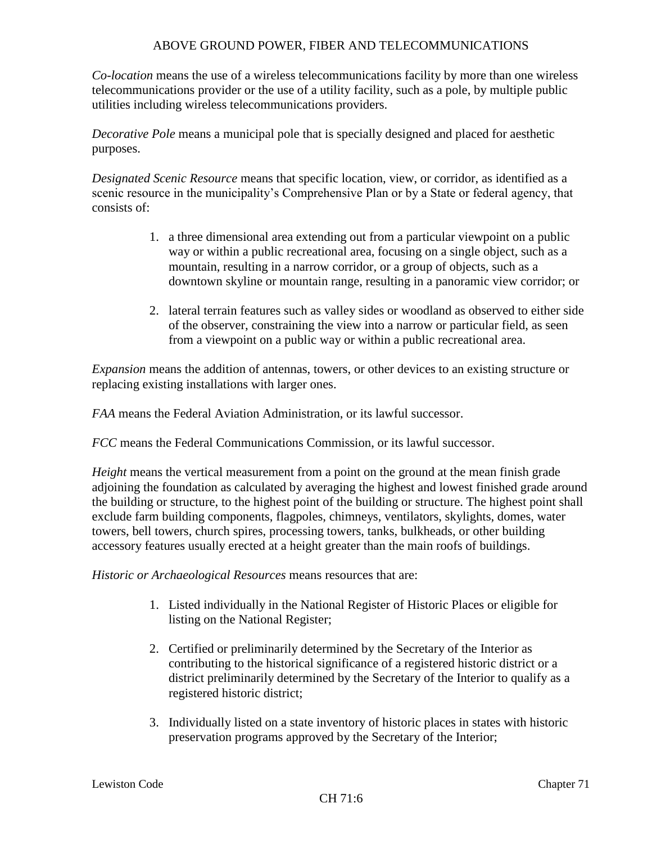*Co-location* means the use of a wireless telecommunications facility by more than one wireless telecommunications provider or the use of a utility facility, such as a pole, by multiple public utilities including wireless telecommunications providers.

*Decorative Pole* means a municipal pole that is specially designed and placed for aesthetic purposes.

*Designated Scenic Resource* means that specific location, view, or corridor, as identified as a scenic resource in the municipality's Comprehensive Plan or by a State or federal agency, that consists of:

- 1. a three dimensional area extending out from a particular viewpoint on a public way or within a public recreational area, focusing on a single object, such as a mountain, resulting in a narrow corridor, or a group of objects, such as a downtown skyline or mountain range, resulting in a panoramic view corridor; or
- 2. lateral terrain features such as valley sides or woodland as observed to either side of the observer, constraining the view into a narrow or particular field, as seen from a viewpoint on a public way or within a public recreational area.

*Expansion* means the addition of antennas, towers, or other devices to an existing structure or replacing existing installations with larger ones.

*FAA* means the Federal Aviation Administration, or its lawful successor.

*FCC* means the Federal Communications Commission, or its lawful successor.

*Height* means the vertical measurement from a point on the ground at the mean finish grade adjoining the foundation as calculated by averaging the highest and lowest finished grade around the building or structure, to the highest point of the building or structure. The highest point shall exclude farm building components, flagpoles, chimneys, ventilators, skylights, domes, water towers, bell towers, church spires, processing towers, tanks, bulkheads, or other building accessory features usually erected at a height greater than the main roofs of buildings.

*Historic or Archaeological Resources* means resources that are:

- 1. Listed individually in the National Register of Historic Places or eligible for listing on the National Register;
- 2. Certified or preliminarily determined by the Secretary of the Interior as contributing to the historical significance of a registered historic district or a district preliminarily determined by the Secretary of the Interior to qualify as a registered historic district;
- 3. Individually listed on a state inventory of historic places in states with historic preservation programs approved by the Secretary of the Interior;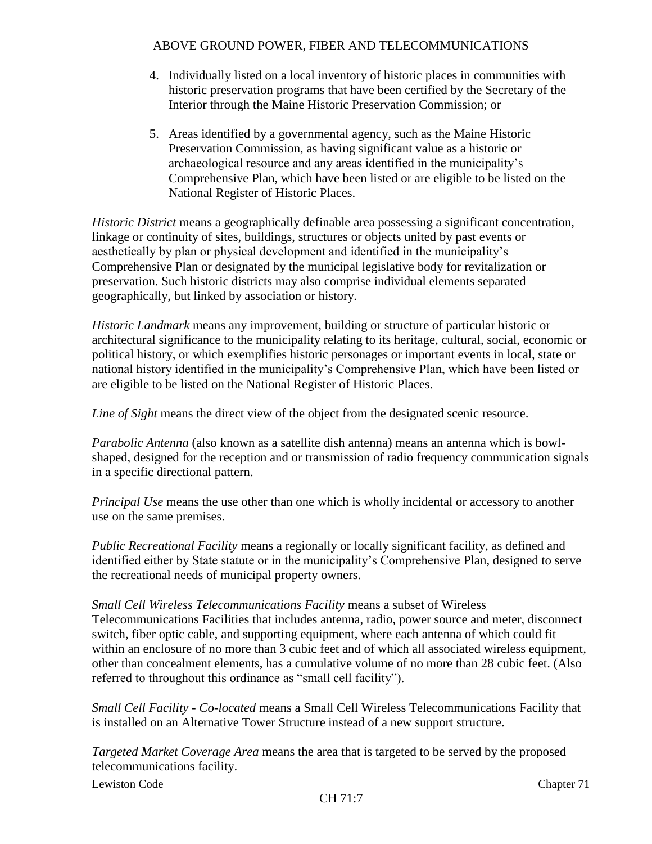- 4. Individually listed on a local inventory of historic places in communities with historic preservation programs that have been certified by the Secretary of the Interior through the Maine Historic Preservation Commission; or
- 5. Areas identified by a governmental agency, such as the Maine Historic Preservation Commission, as having significant value as a historic or archaeological resource and any areas identified in the municipality's Comprehensive Plan, which have been listed or are eligible to be listed on the National Register of Historic Places.

*Historic District* means a geographically definable area possessing a significant concentration, linkage or continuity of sites, buildings, structures or objects united by past events or aesthetically by plan or physical development and identified in the municipality's Comprehensive Plan or designated by the municipal legislative body for revitalization or preservation. Such historic districts may also comprise individual elements separated geographically, but linked by association or history.

*Historic Landmark* means any improvement, building or structure of particular historic or architectural significance to the municipality relating to its heritage, cultural, social, economic or political history, or which exemplifies historic personages or important events in local, state or national history identified in the municipality's Comprehensive Plan, which have been listed or are eligible to be listed on the National Register of Historic Places.

*Line of Sight* means the direct view of the object from the designated scenic resource.

*Parabolic Antenna* (also known as a satellite dish antenna) means an antenna which is bowlshaped, designed for the reception and or transmission of radio frequency communication signals in a specific directional pattern.

*Principal Use* means the use other than one which is wholly incidental or accessory to another use on the same premises.

*Public Recreational Facility* means a regionally or locally significant facility, as defined and identified either by State statute or in the municipality's Comprehensive Plan, designed to serve the recreational needs of municipal property owners.

### *Small Cell Wireless Telecommunications Facility* means a subset of Wireless Telecommunications Facilities that includes antenna, radio, power source and meter, disconnect switch, fiber optic cable, and supporting equipment, where each antenna of which could fit within an enclosure of no more than 3 cubic feet and of which all associated wireless equipment*,* other than concealment elements, has a cumulative volume of no more than 28 cubic feet. (Also referred to throughout this ordinance as "small cell facility").

*Small Cell Facility - Co-located* means a Small Cell Wireless Telecommunications Facility that is installed on an Alternative Tower Structure instead of a new support structure.

*Targeted Market Coverage Area* means the area that is targeted to be served by the proposed telecommunications facility.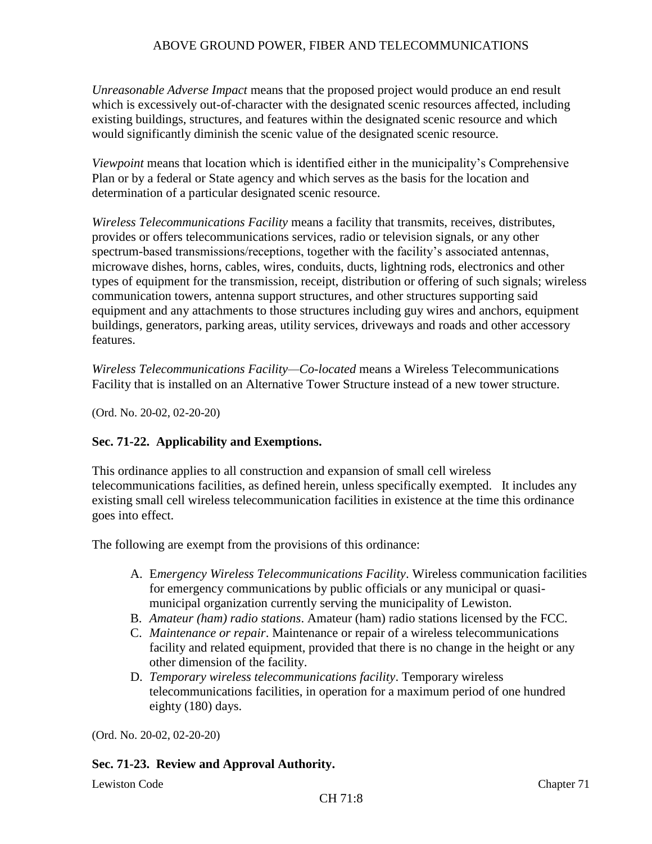*Unreasonable Adverse Impact* means that the proposed project would produce an end result which is excessively out-of-character with the designated scenic resources affected, including existing buildings, structures, and features within the designated scenic resource and which would significantly diminish the scenic value of the designated scenic resource.

*Viewpoint* means that location which is identified either in the municipality's Comprehensive Plan or by a federal or State agency and which serves as the basis for the location and determination of a particular designated scenic resource.

*Wireless Telecommunications Facility* means a facility that transmits, receives, distributes, provides or offers telecommunications services, radio or television signals, or any other spectrum-based transmissions/receptions, together with the facility's associated antennas, microwave dishes, horns, cables, wires, conduits, ducts, lightning rods, electronics and other types of equipment for the transmission, receipt, distribution or offering of such signals; wireless communication towers, antenna support structures, and other structures supporting said equipment and any attachments to those structures including guy wires and anchors, equipment buildings, generators, parking areas, utility services, driveways and roads and other accessory features.

*Wireless Telecommunications Facility—Co-located* means a Wireless Telecommunications Facility that is installed on an Alternative Tower Structure instead of a new tower structure.

(Ord. No. 20-02, 02-20-20)

# **Sec. 71-22. Applicability and Exemptions.**

This ordinance applies to all construction and expansion of small cell wireless telecommunications facilities, as defined herein, unless specifically exempted. It includes any existing small cell wireless telecommunication facilities in existence at the time this ordinance goes into effect.

The following are exempt from the provisions of this ordinance:

- A. E*mergency Wireless Telecommunications Facility*. Wireless communication facilities for emergency communications by public officials or any municipal or quasimunicipal organization currently serving the municipality of Lewiston.
- B. *Amateur (ham) radio stations*. Amateur (ham) radio stations licensed by the FCC.
- C. *Maintenance or repair*. Maintenance or repair of a wireless telecommunications facility and related equipment, provided that there is no change in the height or any other dimension of the facility.
- D. *Temporary wireless telecommunications facility*. Temporary wireless telecommunications facilities, in operation for a maximum period of one hundred eighty (180) days.

(Ord. No. 20-02, 02-20-20)

# **Sec. 71-23. Review and Approval Authority.**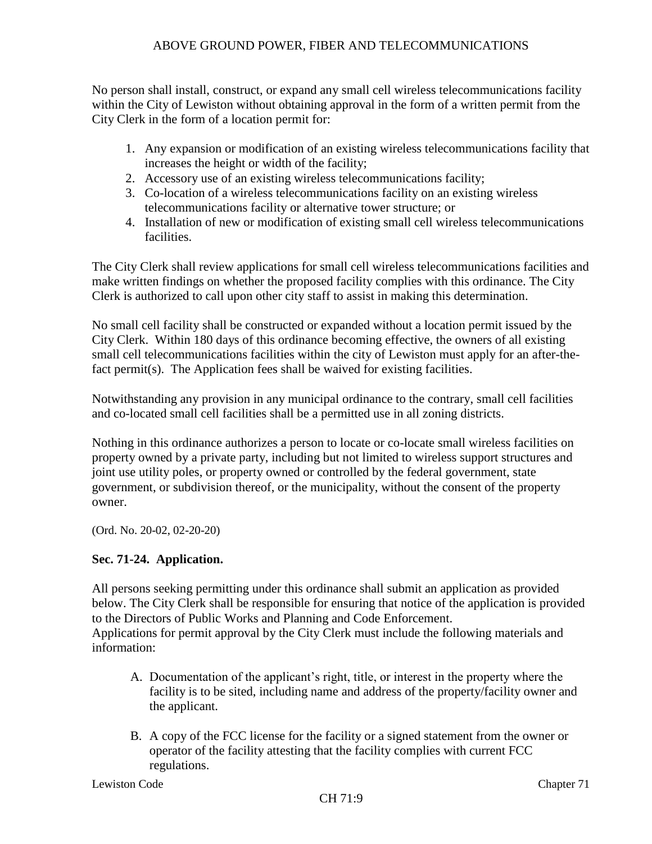No person shall install, construct, or expand any small cell wireless telecommunications facility within the City of Lewiston without obtaining approval in the form of a written permit from the City Clerk in the form of a location permit for:

- 1. Any expansion or modification of an existing wireless telecommunications facility that increases the height or width of the facility;
- 2. Accessory use of an existing wireless telecommunications facility;
- 3. Co-location of a wireless telecommunications facility on an existing wireless telecommunications facility or alternative tower structure; or
- 4. Installation of new or modification of existing small cell wireless telecommunications facilities.

The City Clerk shall review applications for small cell wireless telecommunications facilities and make written findings on whether the proposed facility complies with this ordinance. The City Clerk is authorized to call upon other city staff to assist in making this determination.

No small cell facility shall be constructed or expanded without a location permit issued by the City Clerk. Within 180 days of this ordinance becoming effective, the owners of all existing small cell telecommunications facilities within the city of Lewiston must apply for an after-thefact permit(s). The Application fees shall be waived for existing facilities.

Notwithstanding any provision in any municipal ordinance to the contrary, small cell facilities and co-located small cell facilities shall be a permitted use in all zoning districts.

Nothing in this ordinance authorizes a person to locate or co-locate small wireless facilities on property owned by a private party, including but not limited to wireless support structures and joint use utility poles, or property owned or controlled by the federal government, state government, or subdivision thereof, or the municipality, without the consent of the property owner.

(Ord. No. 20-02, 02-20-20)

# **Sec. 71-24. Application.**

All persons seeking permitting under this ordinance shall submit an application as provided below. The City Clerk shall be responsible for ensuring that notice of the application is provided to the Directors of Public Works and Planning and Code Enforcement. Applications for permit approval by the City Clerk must include the following materials and information:

- A. Documentation of the applicant's right, title, or interest in the property where the facility is to be sited, including name and address of the property/facility owner and the applicant.
- B. A copy of the FCC license for the facility or a signed statement from the owner or operator of the facility attesting that the facility complies with current FCC regulations.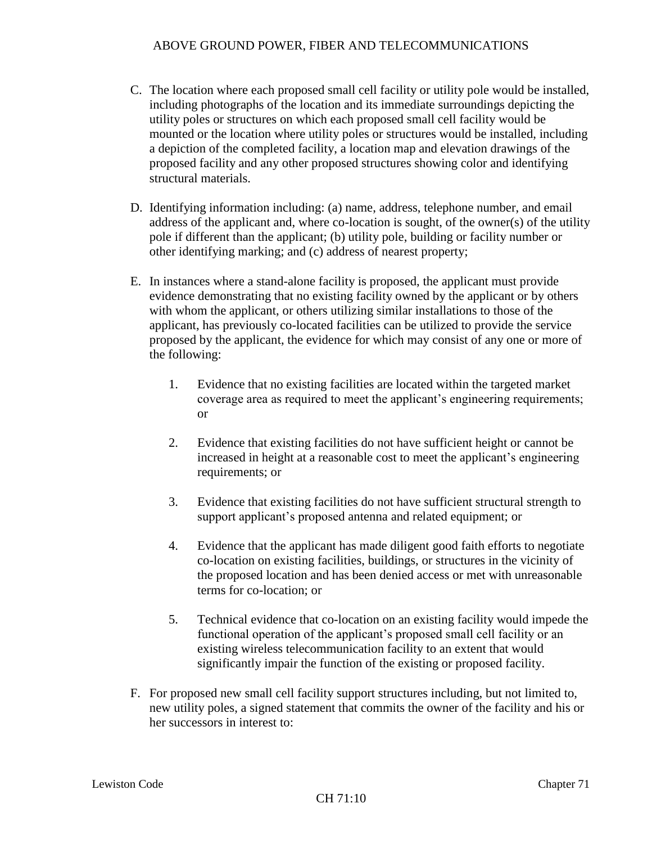- C. The location where each proposed small cell facility or utility pole would be installed, including photographs of the location and its immediate surroundings depicting the utility poles or structures on which each proposed small cell facility would be mounted or the location where utility poles or structures would be installed, including a depiction of the completed facility, a location map and elevation drawings of the proposed facility and any other proposed structures showing color and identifying structural materials.
- D. Identifying information including: (a) name, address, telephone number, and email address of the applicant and, where co-location is sought, of the owner(s) of the utility pole if different than the applicant; (b) utility pole, building or facility number or other identifying marking; and (c) address of nearest property;
- E. In instances where a stand-alone facility is proposed, the applicant must provide evidence demonstrating that no existing facility owned by the applicant or by others with whom the applicant, or others utilizing similar installations to those of the applicant, has previously co-located facilities can be utilized to provide the service proposed by the applicant, the evidence for which may consist of any one or more of the following:
	- 1. Evidence that no existing facilities are located within the targeted market coverage area as required to meet the applicant's engineering requirements; or
	- 2. Evidence that existing facilities do not have sufficient height or cannot be increased in height at a reasonable cost to meet the applicant's engineering requirements; or
	- 3. Evidence that existing facilities do not have sufficient structural strength to support applicant's proposed antenna and related equipment; or
	- 4. Evidence that the applicant has made diligent good faith efforts to negotiate co-location on existing facilities, buildings, or structures in the vicinity of the proposed location and has been denied access or met with unreasonable terms for co-location; or
	- 5. Technical evidence that co-location on an existing facility would impede the functional operation of the applicant's proposed small cell facility or an existing wireless telecommunication facility to an extent that would significantly impair the function of the existing or proposed facility.
- F. For proposed new small cell facility support structures including, but not limited to, new utility poles, a signed statement that commits the owner of the facility and his or her successors in interest to: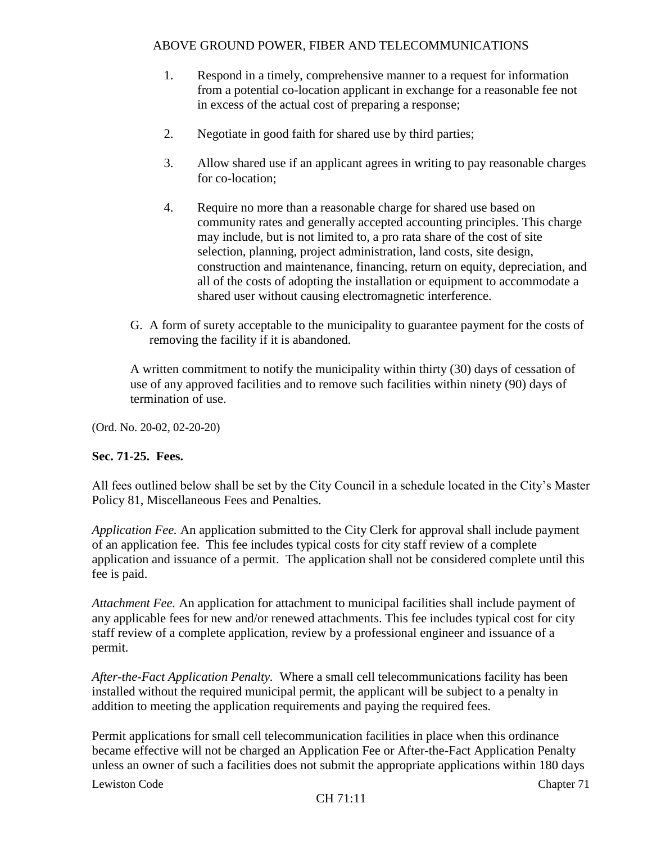- 1. Respond in a timely, comprehensive manner to a request for information from a potential co-location applicant in exchange for a reasonable fee not in excess of the actual cost of preparing a response;
- 2. Negotiate in good faith for shared use by third parties;
- 3. Allow shared use if an applicant agrees in writing to pay reasonable charges for co-location;
- 4. Require no more than a reasonable charge for shared use based on community rates and generally accepted accounting principles. This charge may include, but is not limited to, a pro rata share of the cost of site selection, planning, project administration, land costs, site design, construction and maintenance, financing, return on equity, depreciation, and all of the costs of adopting the installation or equipment to accommodate a shared user without causing electromagnetic interference.
- G. A form of surety acceptable to the municipality to guarantee payment for the costs of removing the facility if it is abandoned.

A written commitment to notify the municipality within thirty (30) days of cessation of use of any approved facilities and to remove such facilities within ninety (90) days of termination of use.

(Ord. No. 20-02, 02-20-20)

### **Sec. 71-25. Fees.**

All fees outlined below shall be set by the City Council in a schedule located in the City's Master Policy 81, Miscellaneous Fees and Penalties.

*Application Fee.* An application submitted to the City Clerk for approval shall include payment of an application fee. This fee includes typical costs for city staff review of a complete application and issuance of a permit. The application shall not be considered complete until this fee is paid.

*Attachment Fee.* An application for attachment to municipal facilities shall include payment of any applicable fees for new and/or renewed attachments. This fee includes typical cost for city staff review of a complete application, review by a professional engineer and issuance of a permit.

*After-the-Fact Application Penalty.* Where a small cell telecommunications facility has been installed without the required municipal permit, the applicant will be subject to a penalty in addition to meeting the application requirements and paying the required fees.

Permit applications for small cell telecommunication facilities in place when this ordinance became effective will not be charged an Application Fee or After-the-Fact Application Penalty unless an owner of such a facilities does not submit the appropriate applications within 180 days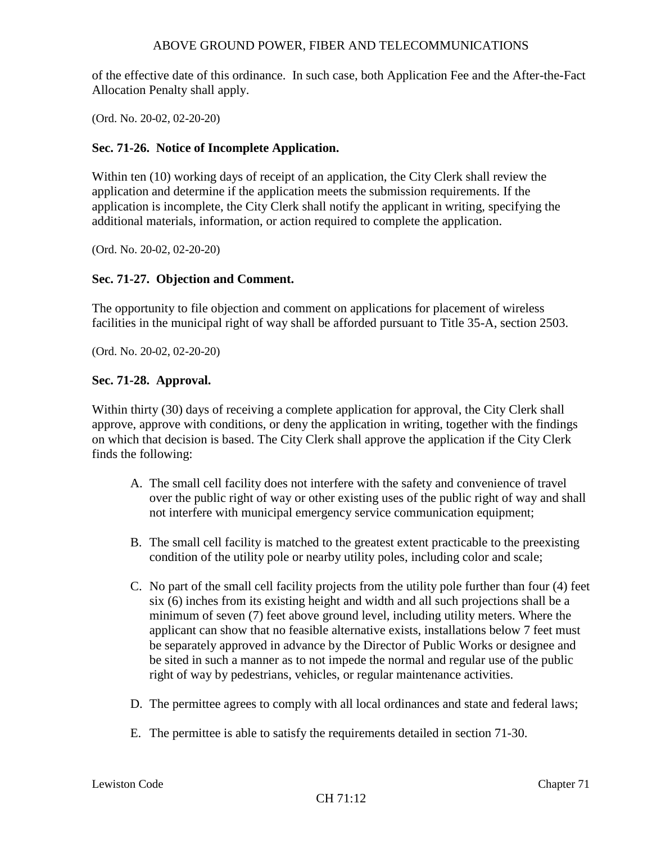of the effective date of this ordinance. In such case, both Application Fee and the After-the-Fact Allocation Penalty shall apply.

(Ord. No. 20-02, 02-20-20)

### **Sec. 71-26. Notice of Incomplete Application.**

Within ten (10) working days of receipt of an application, the City Clerk shall review the application and determine if the application meets the submission requirements. If the application is incomplete, the City Clerk shall notify the applicant in writing, specifying the additional materials, information, or action required to complete the application.

(Ord. No. 20-02, 02-20-20)

### **Sec. 71-27. Objection and Comment.**

The opportunity to file objection and comment on applications for placement of wireless facilities in the municipal right of way shall be afforded pursuant to Title 35-A, section 2503.

(Ord. No. 20-02, 02-20-20)

#### **Sec. 71-28. Approval.**

Within thirty (30) days of receiving a complete application for approval, the City Clerk shall approve, approve with conditions, or deny the application in writing, together with the findings on which that decision is based. The City Clerk shall approve the application if the City Clerk finds the following:

- A. The small cell facility does not interfere with the safety and convenience of travel over the public right of way or other existing uses of the public right of way and shall not interfere with municipal emergency service communication equipment;
- B. The small cell facility is matched to the greatest extent practicable to the preexisting condition of the utility pole or nearby utility poles, including color and scale;
- C. No part of the small cell facility projects from the utility pole further than four (4) feet six (6) inches from its existing height and width and all such projections shall be a minimum of seven (7) feet above ground level, including utility meters. Where the applicant can show that no feasible alternative exists, installations below 7 feet must be separately approved in advance by the Director of Public Works or designee and be sited in such a manner as to not impede the normal and regular use of the public right of way by pedestrians, vehicles, or regular maintenance activities.
- D. The permittee agrees to comply with all local ordinances and state and federal laws;
- E. The permittee is able to satisfy the requirements detailed in section 71-30.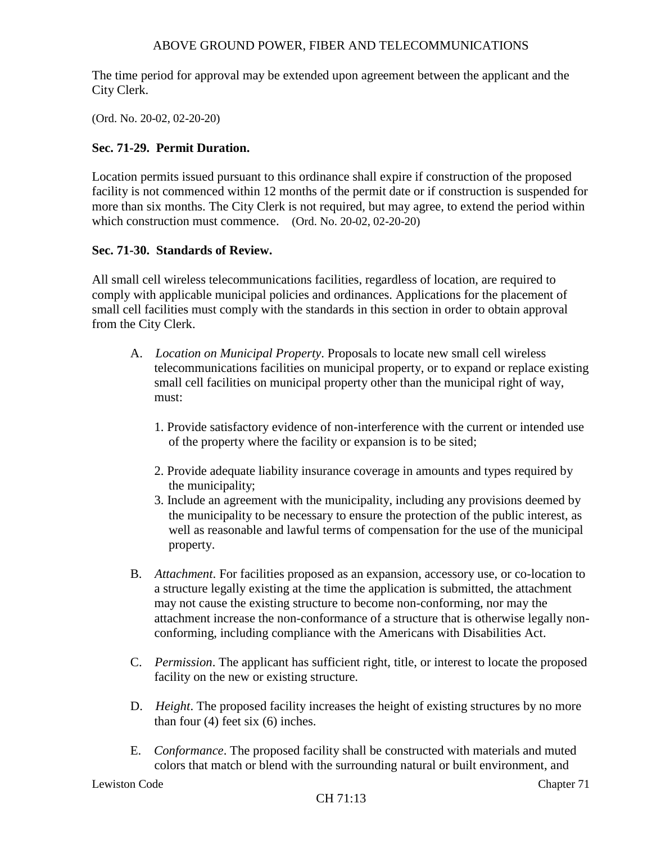The time period for approval may be extended upon agreement between the applicant and the City Clerk.

(Ord. No. 20-02, 02-20-20)

### **Sec. 71-29. Permit Duration.**

Location permits issued pursuant to this ordinance shall expire if construction of the proposed facility is not commenced within 12 months of the permit date or if construction is suspended for more than six months. The City Clerk is not required, but may agree, to extend the period within which construction must commence. (Ord. No. 20-02, 02-20-20)

### **Sec. 71-30. Standards of Review.**

All small cell wireless telecommunications facilities, regardless of location, are required to comply with applicable municipal policies and ordinances. Applications for the placement of small cell facilities must comply with the standards in this section in order to obtain approval from the City Clerk.

- A. *Location on Municipal Property*. Proposals to locate new small cell wireless telecommunications facilities on municipal property, or to expand or replace existing small cell facilities on municipal property other than the municipal right of way, must:
	- 1. Provide satisfactory evidence of non-interference with the current or intended use of the property where the facility or expansion is to be sited;
	- 2. Provide adequate liability insurance coverage in amounts and types required by the municipality;
	- 3. Include an agreement with the municipality, including any provisions deemed by the municipality to be necessary to ensure the protection of the public interest, as well as reasonable and lawful terms of compensation for the use of the municipal property.
- B. *Attachment*. For facilities proposed as an expansion, accessory use, or co-location to a structure legally existing at the time the application is submitted, the attachment may not cause the existing structure to become non-conforming, nor may the attachment increase the non-conformance of a structure that is otherwise legally nonconforming, including compliance with the Americans with Disabilities Act.
- C. *Permission*. The applicant has sufficient right, title, or interest to locate the proposed facility on the new or existing structure.
- D. *Height*. The proposed facility increases the height of existing structures by no more than four  $(4)$  feet six  $(6)$  inches.
- E. *Conformance*. The proposed facility shall be constructed with materials and muted colors that match or blend with the surrounding natural or built environment, and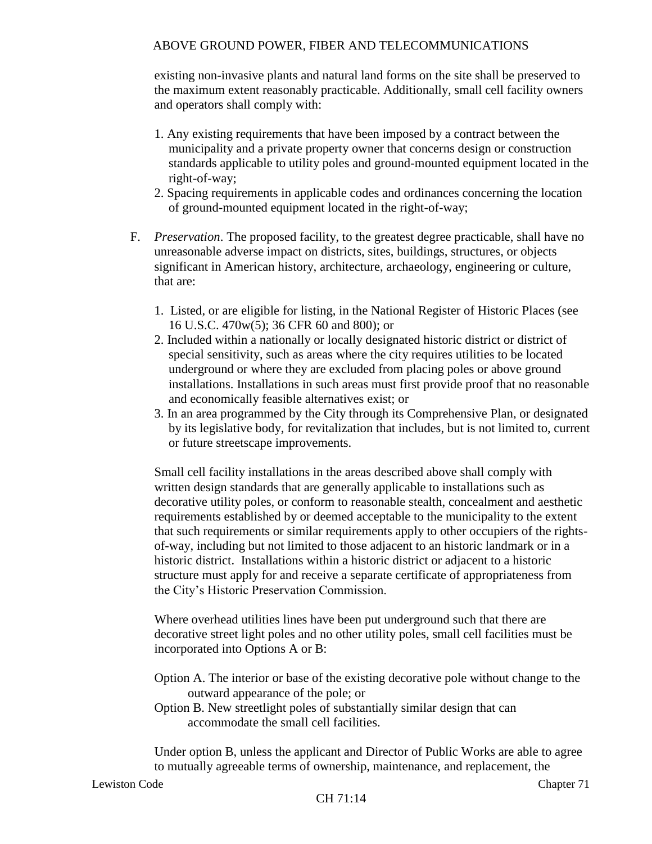existing non-invasive plants and natural land forms on the site shall be preserved to the maximum extent reasonably practicable. Additionally, small cell facility owners and operators shall comply with:

- 1. Any existing requirements that have been imposed by a contract between the municipality and a private property owner that concerns design or construction standards applicable to utility poles and ground-mounted equipment located in the right-of-way;
- 2. Spacing requirements in applicable codes and ordinances concerning the location of ground-mounted equipment located in the right-of-way;
- F. *Preservation*. The proposed facility, to the greatest degree practicable, shall have no unreasonable adverse impact on districts, sites, buildings, structures, or objects significant in American history, architecture, archaeology, engineering or culture, that are:
	- 1. Listed, or are eligible for listing, in the National Register of Historic Places (see 16 U.S.C. 470w(5); 36 CFR 60 and 800); or
	- 2. Included within a nationally or locally designated historic district or district of special sensitivity, such as areas where the city requires utilities to be located underground or where they are excluded from placing poles or above ground installations. Installations in such areas must first provide proof that no reasonable and economically feasible alternatives exist; or
	- 3. In an area programmed by the City through its Comprehensive Plan, or designated by its legislative body, for revitalization that includes, but is not limited to, current or future streetscape improvements.

Small cell facility installations in the areas described above shall comply with written design standards that are generally applicable to installations such as decorative utility poles, or conform to reasonable stealth, concealment and aesthetic requirements established by or deemed acceptable to the municipality to the extent that such requirements or similar requirements apply to other occupiers of the rightsof-way, including but not limited to those adjacent to an historic landmark or in a historic district. Installations within a historic district or adjacent to a historic structure must apply for and receive a separate certificate of appropriateness from the City's Historic Preservation Commission.

Where overhead utilities lines have been put underground such that there are decorative street light poles and no other utility poles, small cell facilities must be incorporated into Options A or B:

- Option A. The interior or base of the existing decorative pole without change to the outward appearance of the pole; or
- Option B. New streetlight poles of substantially similar design that can accommodate the small cell facilities.

Under option B, unless the applicant and Director of Public Works are able to agree to mutually agreeable terms of ownership, maintenance, and replacement, the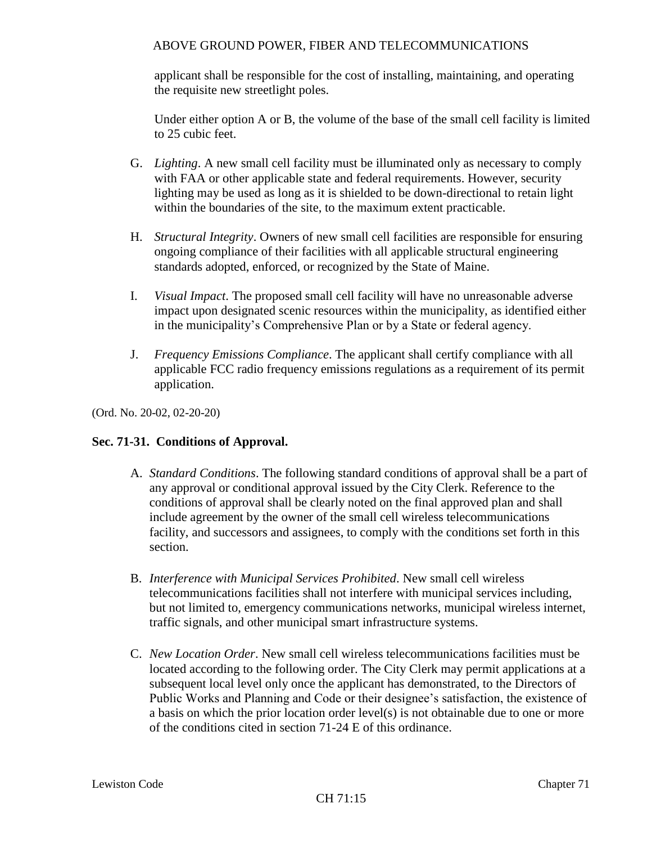applicant shall be responsible for the cost of installing, maintaining, and operating the requisite new streetlight poles.

Under either option A or B, the volume of the base of the small cell facility is limited to 25 cubic feet.

- G. *Lighting*. A new small cell facility must be illuminated only as necessary to comply with FAA or other applicable state and federal requirements. However, security lighting may be used as long as it is shielded to be down-directional to retain light within the boundaries of the site, to the maximum extent practicable.
- H. *Structural Integrity*. Owners of new small cell facilities are responsible for ensuring ongoing compliance of their facilities with all applicable structural engineering standards adopted, enforced, or recognized by the State of Maine.
- I. *Visual Impact*. The proposed small cell facility will have no unreasonable adverse impact upon designated scenic resources within the municipality, as identified either in the municipality's Comprehensive Plan or by a State or federal agency.
- J. *Frequency Emissions Compliance*. The applicant shall certify compliance with all applicable FCC radio frequency emissions regulations as a requirement of its permit application.

(Ord. No. 20-02, 02-20-20)

# **Sec. 71-31. Conditions of Approval.**

- A. *Standard Conditions*. The following standard conditions of approval shall be a part of any approval or conditional approval issued by the City Clerk. Reference to the conditions of approval shall be clearly noted on the final approved plan and shall include agreement by the owner of the small cell wireless telecommunications facility, and successors and assignees, to comply with the conditions set forth in this section.
- B. *Interference with Municipal Services Prohibited*. New small cell wireless telecommunications facilities shall not interfere with municipal services including, but not limited to, emergency communications networks, municipal wireless internet, traffic signals, and other municipal smart infrastructure systems.
- C. *New Location Order*. New small cell wireless telecommunications facilities must be located according to the following order. The City Clerk may permit applications at a subsequent local level only once the applicant has demonstrated, to the Directors of Public Works and Planning and Code or their designee's satisfaction, the existence of a basis on which the prior location order level(s) is not obtainable due to one or more of the conditions cited in section 71-24 E of this ordinance.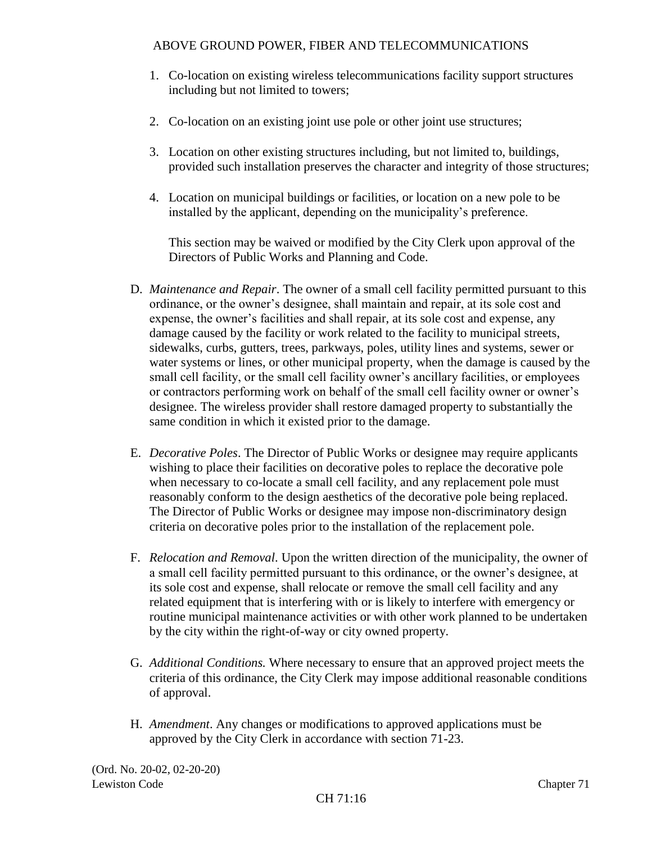- 1. Co-location on existing wireless telecommunications facility support structures including but not limited to towers;
- 2. Co-location on an existing joint use pole or other joint use structures;
- 3. Location on other existing structures including, but not limited to, buildings, provided such installation preserves the character and integrity of those structures;
- 4. Location on municipal buildings or facilities, or location on a new pole to be installed by the applicant, depending on the municipality's preference.

This section may be waived or modified by the City Clerk upon approval of the Directors of Public Works and Planning and Code.

- D. *Maintenance and Repair*. The owner of a small cell facility permitted pursuant to this ordinance, or the owner's designee, shall maintain and repair, at its sole cost and expense, the owner's facilities and shall repair, at its sole cost and expense, any damage caused by the facility or work related to the facility to municipal streets, sidewalks, curbs, gutters, trees, parkways, poles, utility lines and systems, sewer or water systems or lines, or other municipal property, when the damage is caused by the small cell facility, or the small cell facility owner's ancillary facilities, or employees or contractors performing work on behalf of the small cell facility owner or owner's designee. The wireless provider shall restore damaged property to substantially the same condition in which it existed prior to the damage.
- E. *Decorative Poles*. The Director of Public Works or designee may require applicants wishing to place their facilities on decorative poles to replace the decorative pole when necessary to co-locate a small cell facility, and any replacement pole must reasonably conform to the design aesthetics of the decorative pole being replaced. The Director of Public Works or designee may impose non-discriminatory design criteria on decorative poles prior to the installation of the replacement pole.
- F. *Relocation and Removal*. Upon the written direction of the municipality, the owner of a small cell facility permitted pursuant to this ordinance, or the owner's designee, at its sole cost and expense, shall relocate or remove the small cell facility and any related equipment that is interfering with or is likely to interfere with emergency or routine municipal maintenance activities or with other work planned to be undertaken by the city within the right-of-way or city owned property.
- G. *Additional Conditions.* Where necessary to ensure that an approved project meets the criteria of this ordinance, the City Clerk may impose additional reasonable conditions of approval.
- H. *Amendment*. Any changes or modifications to approved applications must be approved by the City Clerk in accordance with section 71-23.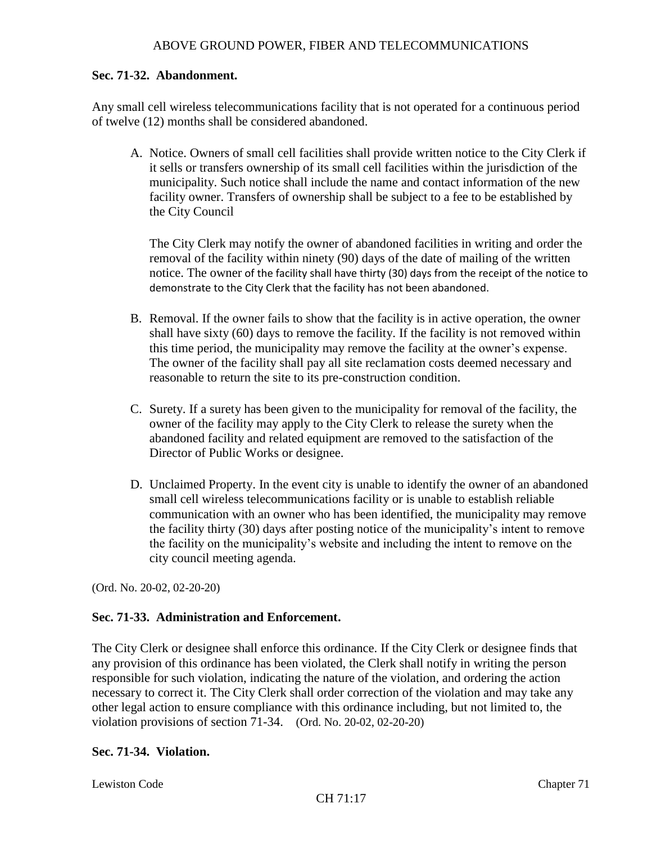#### **Sec. 71-32. Abandonment.**

Any small cell wireless telecommunications facility that is not operated for a continuous period of twelve (12) months shall be considered abandoned.

A. Notice. Owners of small cell facilities shall provide written notice to the City Clerk if it sells or transfers ownership of its small cell facilities within the jurisdiction of the municipality. Such notice shall include the name and contact information of the new facility owner. Transfers of ownership shall be subject to a fee to be established by the City Council

The City Clerk may notify the owner of abandoned facilities in writing and order the removal of the facility within ninety (90) days of the date of mailing of the written notice. The owner of the facility shall have thirty (30) days from the receipt of the notice to demonstrate to the City Clerk that the facility has not been abandoned.

- B. Removal. If the owner fails to show that the facility is in active operation, the owner shall have sixty (60) days to remove the facility. If the facility is not removed within this time period, the municipality may remove the facility at the owner's expense. The owner of the facility shall pay all site reclamation costs deemed necessary and reasonable to return the site to its pre-construction condition.
- C. Surety. If a surety has been given to the municipality for removal of the facility, the owner of the facility may apply to the City Clerk to release the surety when the abandoned facility and related equipment are removed to the satisfaction of the Director of Public Works or designee.
- D. Unclaimed Property. In the event city is unable to identify the owner of an abandoned small cell wireless telecommunications facility or is unable to establish reliable communication with an owner who has been identified, the municipality may remove the facility thirty (30) days after posting notice of the municipality's intent to remove the facility on the municipality's website and including the intent to remove on the city council meeting agenda.

(Ord. No. 20-02, 02-20-20)

### **Sec. 71-33. Administration and Enforcement.**

The City Clerk or designee shall enforce this ordinance. If the City Clerk or designee finds that any provision of this ordinance has been violated, the Clerk shall notify in writing the person responsible for such violation, indicating the nature of the violation, and ordering the action necessary to correct it. The City Clerk shall order correction of the violation and may take any other legal action to ensure compliance with this ordinance including, but not limited to, the violation provisions of section 71-34. (Ord. No. 20-02, 02-20-20)

#### **Sec. 71-34. Violation.**